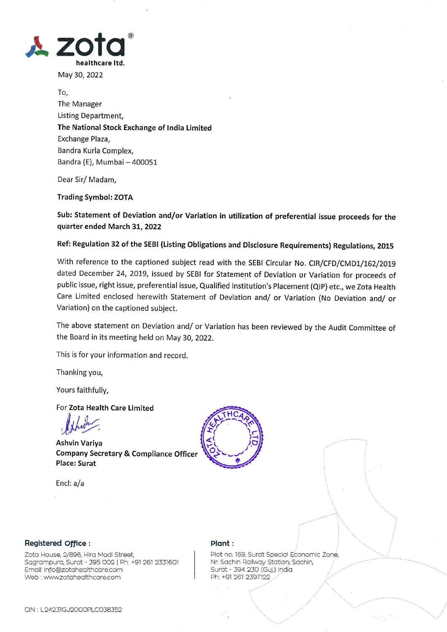

May 30,2022

To, The Manager Listing Department, The National Stock Exchange of lndia Limited Exchange Plaza, Bandra Kurla Complex, Bandra (E), Mumbai - 400051

Dear Sir/ Madam,

## Trading Symbol: ZOTA

Sub: Statement of Deviation and/or Variation in utilization of preferential issue proceeds for the quarter ended March 3L, 2022

Ref: Regulation 32 of the sEBl (Listing obligations and Disclosure Requirements) Regulations, 2015

With reference to the captioned subject read with the SEBI Circular No. CIR/CFD/CMD1/162/2019 dated December 24,2019, issued by SEBI for Statement of Deviation or Variation for proceeds of public issue, right issue, preferential issue, Qualified Institution's Placement (QIP) etc., we Zota Health Care Limited enclosed herewith Statement of Deviation and/ or Variation (No Deviation and/ or Variation) on the captioned subject.

The above statement on Deviation and/ or Variation has been reviewed by the Audit Committee of the Board in its meeting held on May 30, 2022.

This is for your information and record.

Thanking you,

Yours faithfully,

For Zota Health Care Limited

Ashvin Variya<br>Company Secretary & Compliance Officer المستخدمات<br>مستخدمات Company Secretary & Compliance Officer Place: Surat

Encl: a/a



## Registered office :

Zota House, 2/896, Hira Modi Street, Sagrampura, Surat - 395 002 | Ph: +91 261 2331601 Email: info@zotahealthcare.com Web : www.zotahealthcare.com

## Plont :

Plot no. 169, Surat Special Economic Zone, Nr. Sachin Railway Station, Sachin, Surat - 394 230 (Guj.) India Ph: +91 261 2397122

'r'\